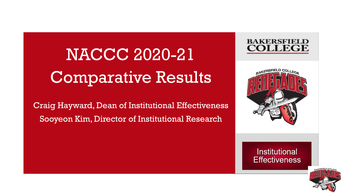NACCC 2020-21 Comparative Results

Craig Hayward, Dean of Institutional Effectiveness Sooyeon Kim, Director of Institutional Research





#### **Institutional Effectiveness**

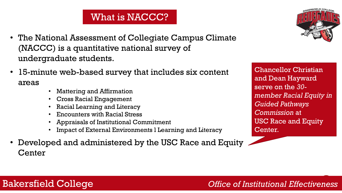### What is NACCC?

- The National Assessment of Collegiate Campus Climate (NACCC) is a quantitative national survey of undergraduate students.
- 15-minute web-based survey that includes six content areas
	- Mattering and Affirmation
	- Cross Racial Engagement
	- Racial Learning and Literacy
	- Encounters with Racial Stress
	- Appraisals of Institutional Commitment
	- Impact of External Environments I Learning and Literacy
- Developed and administered by the USC Race and Equity Center



Chancellor Christian and Dean Hayward serve on the *30 member Racial Equity in Guided Pathways Commission* at USC Race and Equity Center.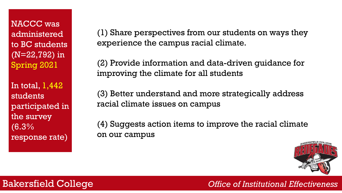NACCC was administered to BC students (N=22,792) in Spring 2021

In total,  $1,442$ students participated in the survey (6.3% response rate)

(1) Share perspectives from our students on ways they experience the campus racial climate.

(2) Provide information and data-driven guidance for improving the climate for all students

(3) Better understand and more strategically address racial climate issues on campus

(4) Suggests action items to improve the racial climate on our campus

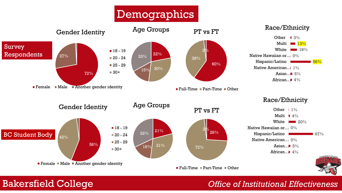# **Demographics**

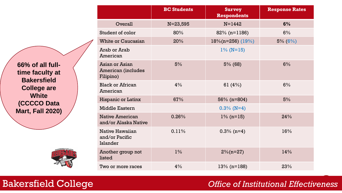**66% of all fulltime faculty at Bakersfield College are White (CCCCO Data Mart, Fall 2020)**



|                                                   | <b>BC Students</b> | <b>Survey</b><br><b>Respondents</b> | <b>Response Rates</b> |
|---------------------------------------------------|--------------------|-------------------------------------|-----------------------|
| Overall                                           | $N = 23,595$       | $N = 1442$                          | 6%                    |
| Student of color                                  | 80%                | $82\%$ (n=1186)                     | 6%                    |
| <b>White or Caucasian</b>                         | 20%                | $18\%$ (n=256) (19%)                | $5\% (6\%)$           |
| Arab or Arab<br>American                          |                    | $1\%$ (N=15)                        |                       |
| Asian or Asian<br>American (includes<br>Filipino) | 5%                 | $5\%$ (68)                          | 6%                    |
| <b>Black or African</b><br>American               | 4%                 | 61 $(4%)$                           | 6%                    |
| <b>Hispanic or Latinx</b>                         | 67%                | $56\%$ (n=804)                      | 5%                    |
| <b>Middle Eastern</b>                             |                    | $0.3\%$ (N=4)                       |                       |
| <b>Native American</b><br>and/or Alaska Native    | 0.26%              | $1\%$ (n=15)                        | 24%                   |
| Native Hawaiian<br>and/or Pacific<br>Islander     | 0.11%              | $0.3\%$ (n=4)                       | 16%                   |
| Another group not<br>listed                       | $1\%$              | $2\%$ (n=27)                        | 14%                   |
| Two or more races                                 | 4%                 | $13\%$ (n=188)                      | 23%                   |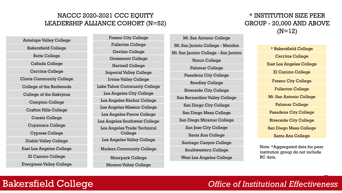#### NACCC 2020-2021 CCC EQUITY LEADERSHIP ALLIANCE COHORT (N=52)

Antelope Valley College Bakersfield College Butte College Cañada College Cerritos College Clovis Community College College of the Redwoods College of the Siskiyous Compton College Crafton Hills College Cuesta College Cuyamaca College Cypress College Diablo Valley College East Los Angeles College El Camino College Evergreen Valley College

Fresno City College Fullerton College Gavilan College Grossmont College Hartnell College Imperial Valley College Irvine Valley College Lake Tahoe Community College Los Angeles City College Los Angeles Harbor College Los Angeles Mission College Los Angeles Pierce College Los Angeles Southwest College Los Angeles Trade Technical College Los Angeles Valley College Madera Community College Moorpark College Moreno Valley College

Mt. San Antonio College Mt. San Jacinto College - Menifee Mt. San Jacinto College - San Jacinto Norco College Palomar College Pasadena City College Reedley College Riverside City College San Bernardino Valley College San Diego City College San Diego Mesa College San Diego Miramar College San Jose City College Santa Ana College Santiago Canyon College Southwestern College West Los Angeles College

#### \* INSTITUTION SIZE PEER GROUP - 20,000 AND ABOVE  $(N=12)$

\* Bakersfield College Cerritos College East Los Angeles College El Camino College Fresno City College Fullerton College Mt. San Antonio College Palomar College Pasadena City College Riverside City College San Diego Mesa College Santa Ana College

Note: \*Aggregated data for peer institution group do not include BC data.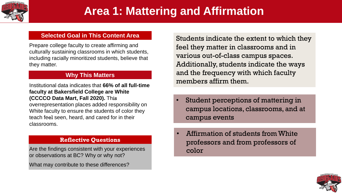

#### **Selected Goal in This Content Area**

Prepare college faculty to create affirming and culturally sustaining classrooms in which students, including racially minoritized students, believe that they matter.

#### **Why This Matters**

Institutional data indicates that **66% of all full-time faculty at Bakersfield College are White (CCCCO Data Mart, Fall 2020).** This

overrepresentation places added responsibility on White faculty to ensure the students of color they teach feel seen, heard, and cared for in their classrooms.

#### **Reflective Questions**

Are the findings consistent with your experiences or observations at BC? Why or why not?

What may contribute to these differences?

Students indicate the extent to which they feel they matter in classrooms and in various out-of-class campus spaces. Additionally, students indicate the ways and the frequency with which faculty members affirm them.

- Student perceptions of mattering in campus locations, classrooms, and at campus events
- Affirmation of students from White professors and from professors of color

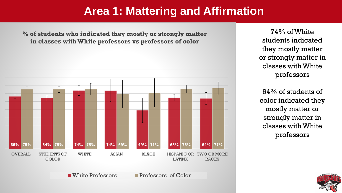**% of students who indicated they mostly or strongly matter in classes with White professors vs professors of color** 



74% of White students indicated they mostly matter or strongly matter in classes with White professors

64% of students of color indicated they mostly matter or strongly matter in classes with White professors



■ White Professors ■ Professors of Color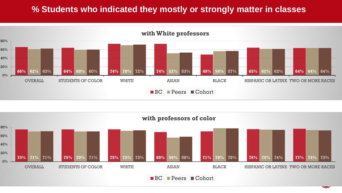#### **% Students who indicated they mostly or strongly matter in classes**



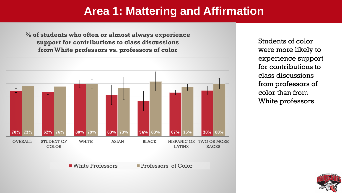**% of students who often or almost always experience support for contributions to class discussions from White professors vs. professors of color** 



Students of color were more likely to experience support for contributions to class discussions from professors of color than from White professors



■ White Professors ■ Professors of Color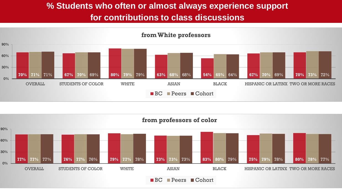### **% Students who often or almost always experience support for contributions to class discussions**



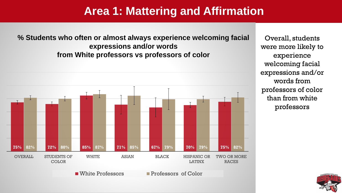**% Students who often or almost always experience welcoming facial expressions and/or words from White professors vs professors of color**



Overall, students were more likely to experience welcoming facial expressions and/or words from professors of color than from white professors

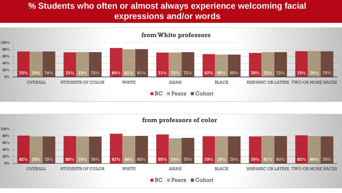### **% Students who often or almost always experience welcoming facial expressions and/or words**



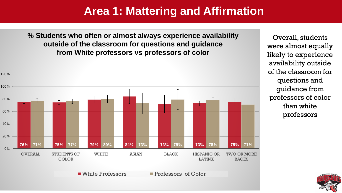**% Students who often or almost always experience availability outside of the classroom for questions and guidance from White professors vs professors of color**



Overall, students were almost equally likely to experience availability outside of the classroom for questions and guidance from professors of color than white professors



■ White Professors ■ Professors of Color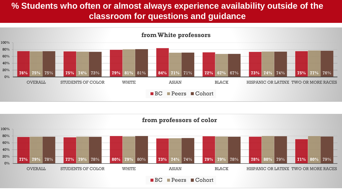### **% Students who often or almost always experience availability outside of the classroom for questions and guidance**



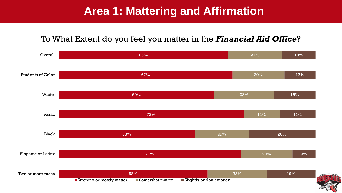#### To What Extent do you feel you matter in the *Financial Aid Office*?

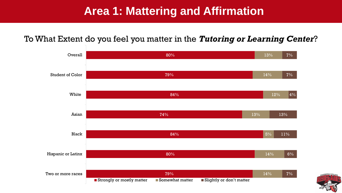#### To What Extent do you feel you matter in the *Tutoring or Learning Center*?



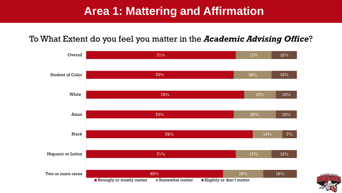#### To What Extent do you feel you matter in the *Academic Advising Office*?



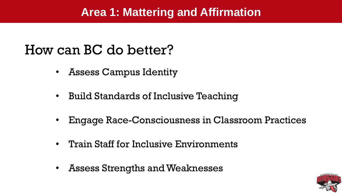# How can BC do better?

- Assess Campus Identity
- Build Standards of Inclusive Teaching
- Engage Race-Consciousness in Classroom Practices
- Train Staff for Inclusive Environments
- Assess Strengths and Weaknesses

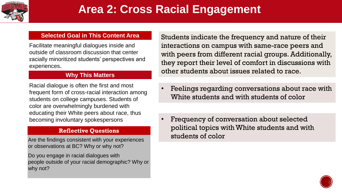

.

# **Area 2: Cross Racial Engagement**

#### **Selected Goal in This Content Area**

Facilitate meaningful dialogues inside and outside of classroom discussion that center racially minoritized students' perspectives and experiences.

#### **Why This Matters**

Racial dialogue is often the first and most frequent form of cross-racial interaction among students on college campuses. Students of color are overwhelmingly burdened with educating their White peers about race, thus becoming involuntary spokespersons

#### **Reflective Questions**

Are the findings consistent with your experiences or observations at BC? Why or why not?

Do you engage in racial dialogues with people outside of your racial demographic? Why or why not?

Students indicate the frequency and nature of their interactions on campus with same-race peers and with peers from different racial groups. Additionally, they report their level of comfort in discussions with other students about issues related to race.

- Feelings regarding conversations about race with White students and with students of color
- Frequency of conversation about selected political topics with White students and with students of color

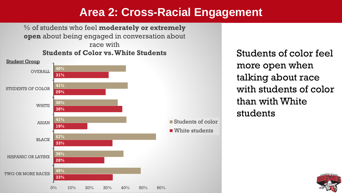### **Area 2: Cross-Racial Engagement**

% of students who feel **moderately or extremely open** about being engaged in conversation about race with **Students of Color vs. White Students**



Students of color feel more open when talking about race with students of color than with White students

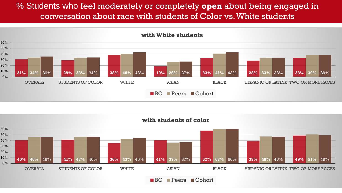#### % Students who feel moderately or completely **open** about being engaged in conversation about race with students of Color vs. White students



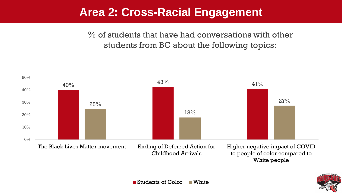### **Area 2: Cross-Racial Engagement**

% of students that have had conversations with other students from BC about the following topics:





■ Students of Color ■ White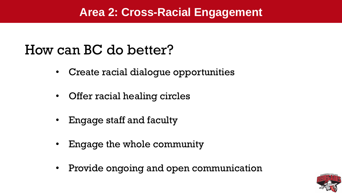### **Area 2: Cross-Racial Engagement**

# How can BC do better?

- Create racial dialogue opportunities
- Offer racial healing circles
- Engage staff and faculty
- Engage the whole community
- Provide ongoing and open communication

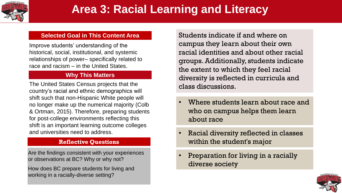

.

# **Area 3: Racial Learning and Literacy**

#### **Selected Goal in This Content Area**

Improve students' understanding of the historical, social, institutional, and systemic relationships of power– specifically related to race and racism – in the United States.

#### **Why This Matters**

The United States Census projects that the country's racial and ethnic demographics will shift such that non-Hispanic White people will no longer make up the numerical majority (Colb & Ortman, 2015). Therefore, preparing students for post-college environments reflecting this shift is an important learning outcome colleges and universities need to address.

#### **Reflective Questions**

Are the findings consistent with your experiences or observations at BC? Why or why not?

How does BC prepare students for living and working in a racially-diverse setting?

Students indicate if and where on campus they learn about their own racial identities and about other racial groups. Additionally, students indicate the extent to which they feel racial diversity is reflected in curricula and class discussions.

- Where students learn about race and who on campus helps them learn about race
- Racial diversity reflected in classes within the student's major
- Preparation for living in a racially diverse society

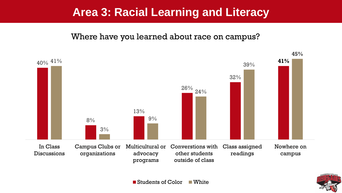#### Where have you learned about race on campus?





■ Students of Color ■ White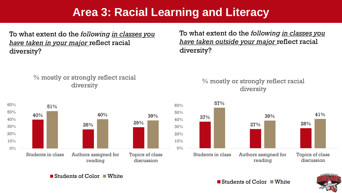To what extent do the *following in classes you have taken in your major* reflect racial diversity?

#### % mostly or strongly reflect racial diversity



To what extent do the *following in classes you have taken outside your major* reflect racial diversity?

#### % mostly or strongly reflect racial diversity



Students of Color White



**Students of Color White**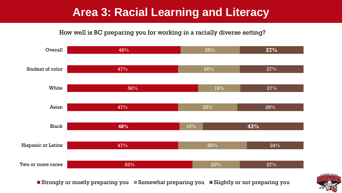#### How well is BC preparing you for working in a racially diverse setting?



Strongly or mostly preparing you Somewhat preparing you Slightly or not preparing you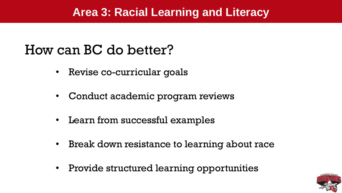# How can BC do better?

- Revise co-curricular goals
- Conduct academic program reviews
- Learn from successful examples
- Break down resistance to learning about race
- Provide structured learning opportunities

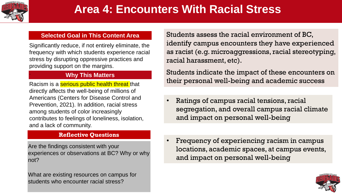

.

# **Area 4: Encounters With Racial Stress**

#### **Selected Goal in This Content Area**

Significantly reduce, if not entirely eliminate, the frequency with which students experience racial stress by disrupting oppressive practices and providing support on the margins.

#### **Why This Matters**

Racism is a **serious public health threat** that directly affects the well-being of millions of Americans (Centers for Disease Control and Prevention, 2021). In addition, racial stress among students of color increasingly contributes to feelings of loneliness, isolation, and a lack of community.

#### **Reflective Questions**

Are the findings consistent with your experiences or observations at BC? Why or why not?

What are existing resources on campus for students who encounter racial stress?

Students assess the racial environment of BC, identify campus encounters they have experienced as racist (e.g. microaggressions, racial stereotyping, racial harassment, etc).

Students indicate the impact of these encounters on their personal well-being and academic success

- Ratings of campus racial tensions, racial segregation, and overall campus racial climate and impact on personal well-being
- Frequency of experiencing racism in campus locations, academic spaces, at campus events, and impact on personal well-being

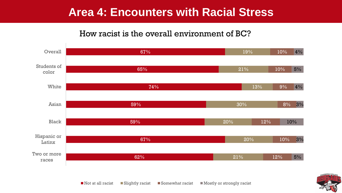#### How racist is the overall environment of BC?



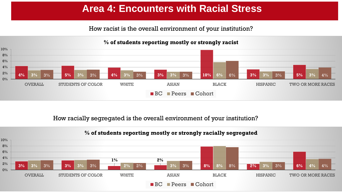How racist is the overall environment of your institution?



How racially segregated is the overall environment of your institution?

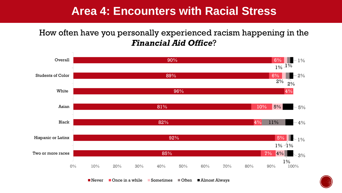#### How often have you personally experienced racism happening in the *Financial Aid Office*?



■ Never ■ Once in a while ■ Sometimes ■ Often ■ Almost Always

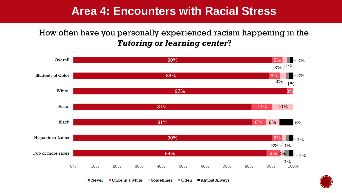### How often have you personally experienced racism happening in the *Tutoring or learning center*?





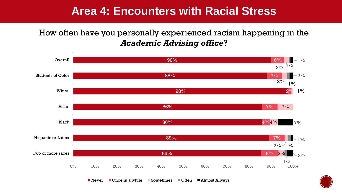### How often have you personally experienced racism happening in the *Academic Advising office*?



■ Never ■ Once in a while ■ Sometimes ■ Often ■ Almost Always

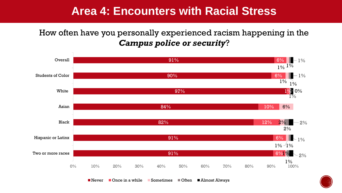### How often have you personally experienced racism happening in the *Campus police or security*?





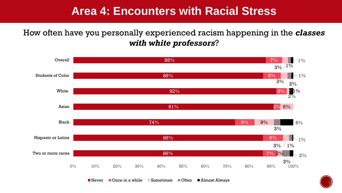How often have you personally experienced racism happening in the *classes with white professors*?



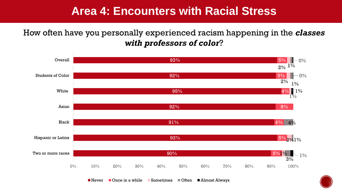How often have you personally experienced racism happening in the *classes with professors of color*?



■ Never ■ Once in a while ■ Sometimes ■ Often ■ Almost Always

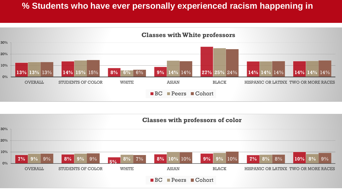#### **% Students who have ever personally experienced racism happening in**



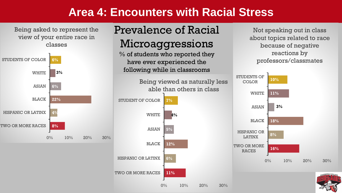Being asked to represent the view of your entire race in classes



## Prevalence of Racial Microaggressions

% of students who reported they have ever experienced the following while in classrooms



Not speaking out in class about topics related to race because of negative reactions by professors/classmates

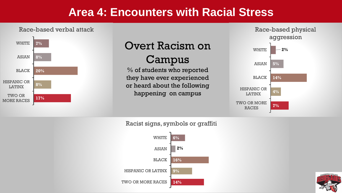#### Race-based verbal attack



# Overt Racism on

### Campus

% of students who reported they have ever experienced or heard about the following happening on campus



Racist signs, symbols or graffiti



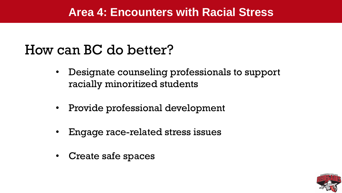# How can BC do better?

- Designate counseling professionals to support racially minoritized students
- Provide professional development
- Engage race-related stress issues
- Create safe spaces

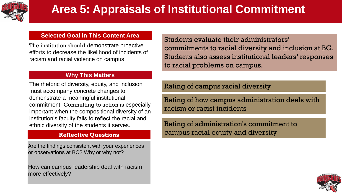

# **Area 5: Appraisals of Institutional Commitment**

#### **Selected Goal in This Content Area**

The institution should demonstrate proactive efforts to decrease the likelihood of incidents of racism and racial violence on campus.

#### **Why This Matters**

The rhetoric of diversity, equity, and inclusion must accompany concrete changes to demonstrate a meaningful institutional commitment. Committing to action is especially important when the compositional diversity of an institution's faculty fails to reflect the racial and ethnic diversity of the students it serves.

#### **Reflective Questions**

Are the findings consistent with your experiences or observations at BC? Why or why not?

How can campus leadership deal with racism more effectively?

Students evaluate their administrators' commitments to racial diversity and inclusion at BC. Students also assess institutional leaders' responses to racial problems on campus.

Rating of campus racial diversity

Rating of how campus administration deals with racism or racist incidents

Rating of administration's commitment to campus racial equity and diversity

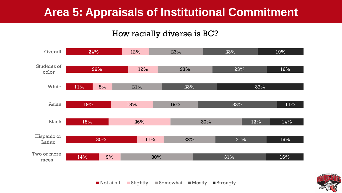## **Area 5: Appraisals of Institutional Commitment**

#### How racially diverse is BC?



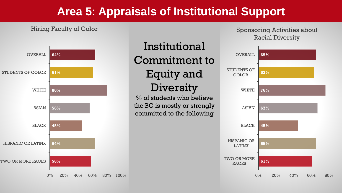### **Area 5: Appraisals of Institutional Support**

#### Hiring Faculty of Color



# Institutional Commitment to Equity and **Diversity**

% of students who believe the BC is mostly or strongly committed to the following

#### Sponsoring Activities about Racial Diversity

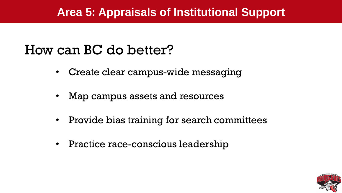### **Area 5: Appraisals of Institutional Support**

# How can BC do better?

- Create clear campus-wide messaging
- Map campus assets and resources
- Provide bias training for search committees
- Practice race-conscious leadership

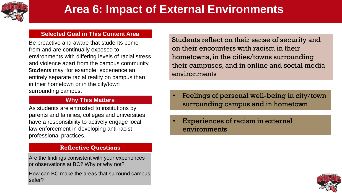

#### **Selected Goal in This Content Area**

Be proactive and aware that students come from and are continually exposed to environments with differing levels of racial stress and violence apart from the campus community. Students may, for example, experience an entirely separate racial reality on campus than in their hometown or in the city/town surrounding campus.

#### **Why This Matters**

As students are entrusted to institutions by parents and families, colleges and universities have a responsibility to actively engage local law enforcement in developing anti-racist professional practices.

#### **Reflective Questions**

Are the findings consistent with your experiences or observations at BC? Why or why not?

How can BC make the areas that surround campus safer?

Students reflect on their sense of security and on their encounters with racism in their hometowns, in the cities/towns surrounding their campuses, and in online and social media environments

- Feelings of personal well-being in city/town surrounding campus and in hometown
- Experiences of racism in external environments

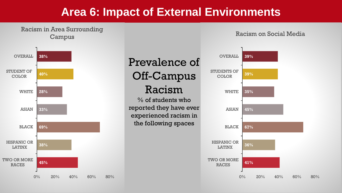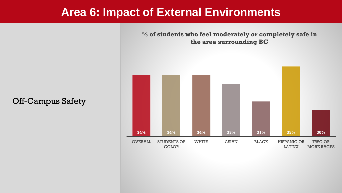**34% 34% 34% 33% 31% 35% 30%** OVERALL STUDENTS OF **COLOR** WHITE ASIAN BLACK HISPANIC OR LATINX TWO OR MORE RACES

**% of students who feel moderately or completely safe in the area surrounding BC**

Off-Campus Safety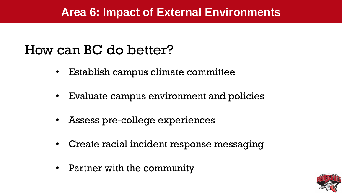# How can BC do better?

- Establish campus climate committee
- Evaluate campus environment and policies
- Assess pre-college experiences
- Create racial incident response messaging
- Partner with the community